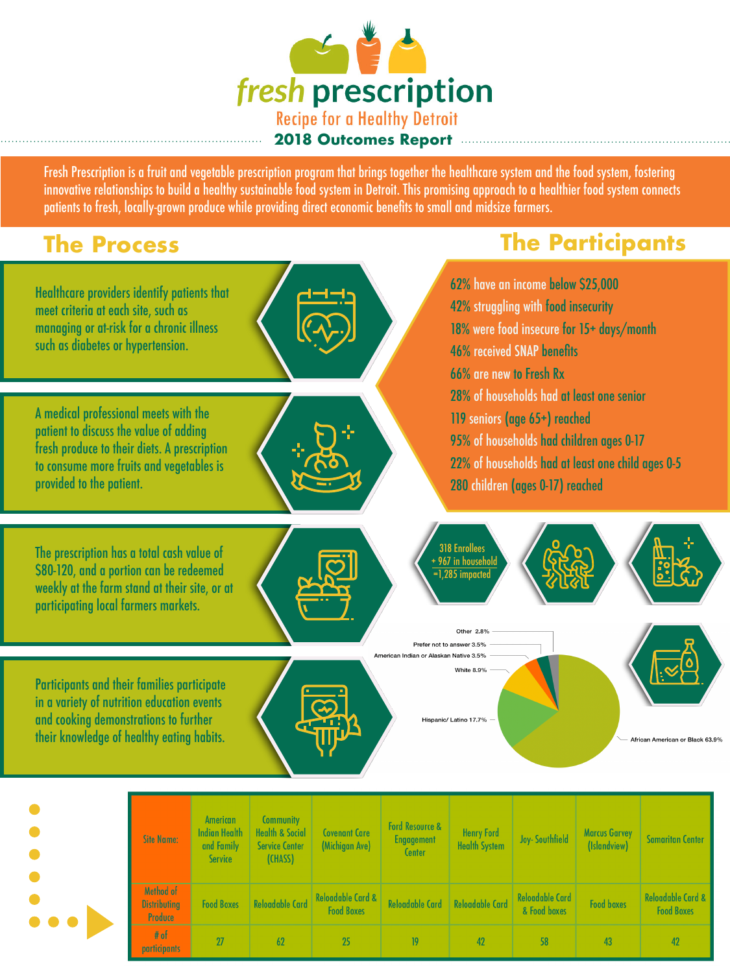

Fresh Prescription is a fruit and vegetable prescription program that brings together the healthcare system and the food system, fostering innovative relationships to build a healthy sustainable food system in Detroit. This promising approach to a healthier food system connects patients to fresh, locally-grown produce while providing direct economic benefits to small and midsize farmers.

## **The Process**

## **The Participants**